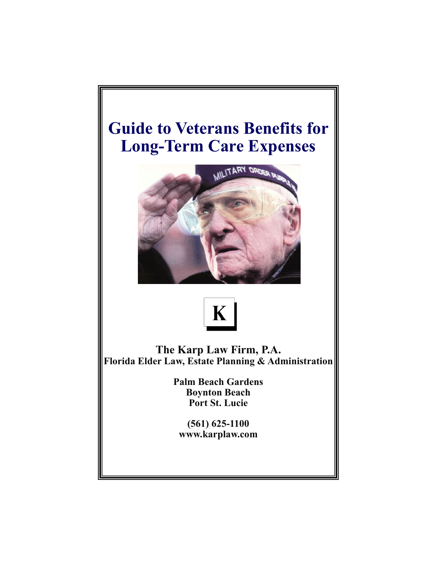# **Guide to Veterans Benefits for Long-Term Care Expenses**





**The Karp Law Firm, P.A. Florida Elder Law, Estate Planning & Administration** 

> **Palm Beach Gardens Boynton Beach Port St. Lucie**

**(561) 625-1100 www.karplaw.com**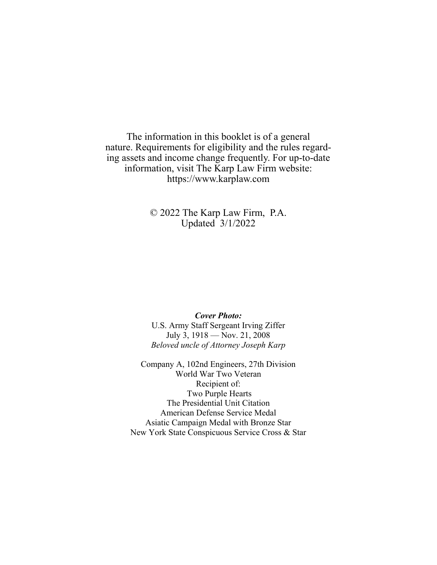The information in this booklet is of a general nature. Requirements for eligibility and the rules regarding assets and income change frequently. For up-to-date information, visit The Karp Law Firm website: https://www.karplaw.com

> © 2022 The Karp Law Firm, P.A. Updated 3/1/2022

#### *Cover Photo:*

U.S. Army Staff Sergeant Irving Ziffer July 3, 1918 — Nov. 21, 2008 *Beloved uncle of Attorney Joseph Karp* 

Company A, 102nd Engineers, 27th Division World War Two Veteran Recipient of: Two Purple Hearts The Presidential Unit Citation American Defense Service Medal Asiatic Campaign Medal with Bronze Star New York State Conspicuous Service Cross & Star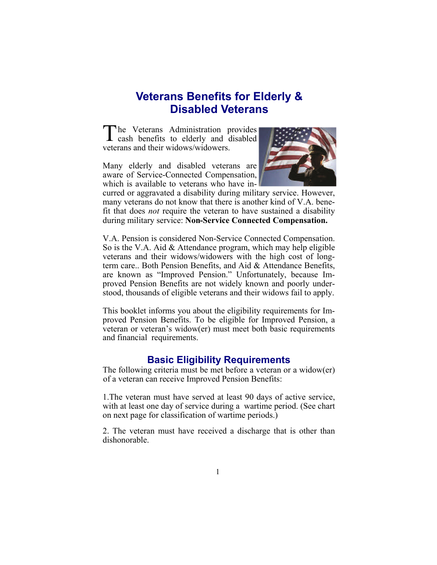# **Veterans Benefits for Elderly & Disabled Veterans**

T he Veterans Administration provides cash benefits to elderly and disabled veterans and their widows/widowers.

Many elderly and disabled veterans are aware of Service-Connected Compensation, which is available to veterans who have in-



curred or aggravated a disability during military service. However, many veterans do not know that there is another kind of V.A. benefit that does *not* require the veteran to have sustained a disability during military service: **Non-Service Connected Compensation.** 

V.A. Pension is considered Non-Service Connected Compensation. So is the V.A. Aid & Attendance program, which may help eligible veterans and their widows/widowers with the high cost of longterm care.. Both Pension Benefits, and Aid & Attendance Benefits, are known as "Improved Pension." Unfortunately, because Improved Pension Benefits are not widely known and poorly understood, thousands of eligible veterans and their widows fail to apply.

This booklet informs you about the eligibility requirements for Improved Pension Benefits. To be eligible for Improved Pension, a veteran or veteran's widow(er) must meet both basic requirements and financial requirements.

### **Basic Eligibility Requirements**

The following criteria must be met before a veteran or a widow(er) of a veteran can receive Improved Pension Benefits:

1.The veteran must have served at least 90 days of active service, with at least one day of service during a wartime period. (See chart on next page for classification of wartime periods.)

2. The veteran must have received a discharge that is other than dishonorable.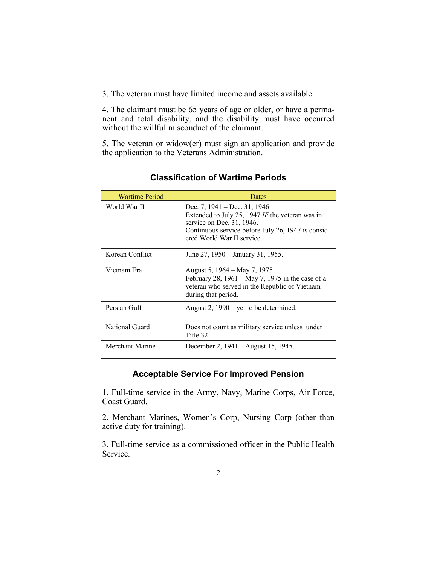3. The veteran must have limited income and assets available.

4. The claimant must be 65 years of age or older, or have a permanent and total disability, and the disability must have occurred without the willful misconduct of the claimant.

5. The veteran or widow(er) must sign an application and provide the application to the Veterans Administration.

| <b>Wartime Period</b> | Dates                                                                                                                                                                                                   |  |
|-----------------------|---------------------------------------------------------------------------------------------------------------------------------------------------------------------------------------------------------|--|
| World War II          | Dec. 7, $1941 - Dec. 31$ , $1946$ .<br>Extended to July 25, 1947 IF the veteran was in<br>service on Dec. 31, 1946.<br>Continuous service before July 26, 1947 is consid-<br>ered World War II service. |  |
| Korean Conflict       | June 27, 1950 – January 31, 1955.                                                                                                                                                                       |  |
| Vietnam Era           | August 5, 1964 – May 7, 1975.<br>February 28, $1961 - May 7$ , 1975 in the case of a<br>veteran who served in the Republic of Vietnam<br>during that period.                                            |  |
| Persian Gulf          | August 2, $1990 - \text{yet to be determined.}$                                                                                                                                                         |  |
| National Guard        | Does not count as military service unless under<br>Title 32.                                                                                                                                            |  |
| Merchant Marine       | December 2, 1941—August 15, 1945.                                                                                                                                                                       |  |

**Classification of Wartime Periods** 

### **Acceptable Service For Improved Pension**

1. Full-time service in the Army, Navy, Marine Corps, Air Force, Coast Guard.

2. Merchant Marines, Women's Corp, Nursing Corp (other than active duty for training).

3. Full-time service as a commissioned officer in the Public Health Service.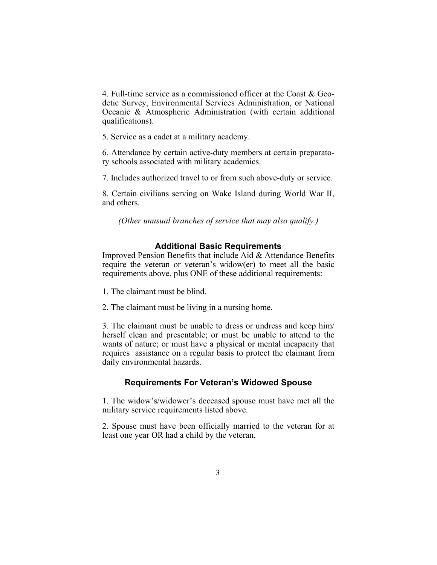4. Full-time service as a commissioned officer at the Coast & Geodetic Survey, Environmental Services Administration, or National Oceanic & Atmospheric Administration (with certain additional qualifications).

5. Service as a cadet at a military academy.

6. Attendance by certain active-duty members at certain preparatory schools associated with military academics.

7. Includes authorized travel to or from such above-duty or service.

8. Certain civilians serving on Wake Island during World War II, and others.

*(Other unusual branches of service that may also qualify.)* 

#### **Additional Basic Requirements**

Improved Pension Benefits that include Aid & Attendance Benefits require the veteran or veteran's widow(er) to meet all the basic requirements above, plus ONE of these additional requirements:

1. The claimant must be blind.

2. The claimant must be living in a nursing home.

3. The claimant must be unable to dress or undress and keep him/ herself clean and presentable; or must be unable to attend to the wants of nature; or must have a physical or mental incapacity that requires assistance on a regular basis to protect the claimant from daily environmental hazards.

#### **Requirements For Veteran's Widowed Spouse**

1. The widow's/widower's deceased spouse must have met all the military service requirements listed above.

2. Spouse must have been officially married to the veteran for at least one year OR had a child by the veteran.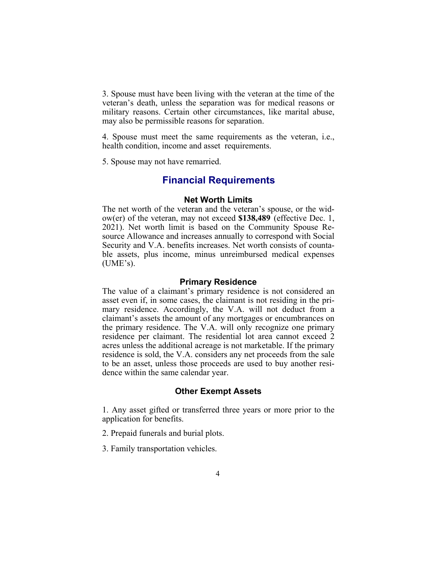3. Spouse must have been living with the veteran at the time of the veteran's death, unless the separation was for medical reasons or military reasons. Certain other circumstances, like marital abuse, may also be permissible reasons for separation.

4. Spouse must meet the same requirements as the veteran, i.e., health condition, income and asset requirements.

5. Spouse may not have remarried.

## **Financial Requirements**

#### **Net Worth Limits**

The net worth of the veteran and the veteran's spouse, or the widow(er) of the veteran, may not exceed **\$138,489** (effective Dec. 1, 2021). Net worth limit is based on the Community Spouse Resource Allowance and increases annually to correspond with Social Security and V.A. benefits increases. Net worth consists of countable assets, plus income, minus unreimbursed medical expenses  $(UME's)$ .

#### **Primary Residence**

The value of a claimant's primary residence is not considered an asset even if, in some cases, the claimant is not residing in the primary residence. Accordingly, the V.A. will not deduct from a claimant's assets the amount of any mortgages or encumbrances on the primary residence. The V.A. will only recognize one primary residence per claimant. The residential lot area cannot exceed 2 acres unless the additional acreage is not marketable. If the primary residence is sold, the V.A. considers any net proceeds from the sale to be an asset, unless those proceeds are used to buy another residence within the same calendar year.

#### **Other Exempt Assets**

1. Any asset gifted or transferred three years or more prior to the application for benefits.

2. Prepaid funerals and burial plots.

3. Family transportation vehicles.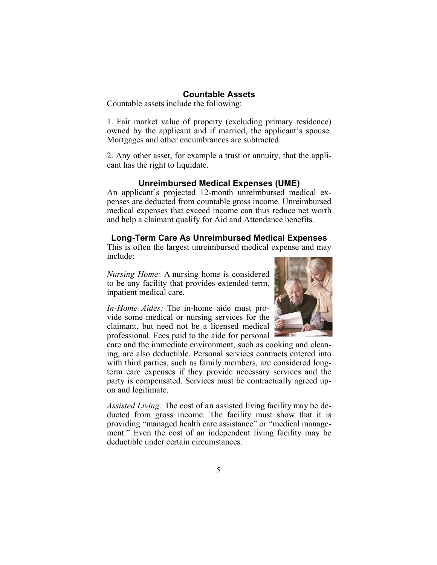#### **Countable Assets**

Countable assets include the following:

1. Fair market value of property (excluding primary residence) owned by the applicant and if married, the applicant's spouse. Mortgages and other encumbrances are subtracted.

2. Any other asset, for example a trust or annuity, that the applicant has the right to liquidate.

#### **Unreimbursed Medical Expenses (UME)**

An applicant's projected 12-month unreimbursed medical expenses are deducted from countable gross income. Unreimbursed medical expenses that exceed income can thus reduce net worth and help a claimant qualify for Aid and Attendance benefits.

#### **Long-Term Care As Unreimbursed Medical Expenses**

This is often the largest unreimbursed medical expense and may include:

*Nursing Home:* A nursing home is considered to be any facility that provides extended term, inpatient medical care.

*In-Home Aides:* The in-home aide must provide some medical or nursing services for the claimant, but need not be a licensed medical professional. Fees paid to the aide for personal



care and the immediate environment, such as cooking and cleaning, are also deductible. Personal services contracts entered into with third parties, such as family members, are considered longterm care expenses if they provide necessary services and the party is compensated. Services must be contractually agreed upon and legitimate.

*Assisted Living:* The cost of an assisted living facility may be deducted from gross income. The facility must show that it is providing "managed health care assistance" or "medical management." Even the cost of an independent living facility may be deductible under certain circumstances.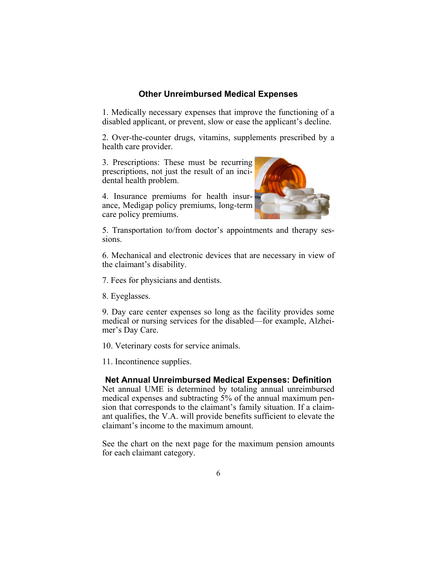#### **Other Unreimbursed Medical Expenses**

1. Medically necessary expenses that improve the functioning of a disabled applicant, or prevent, slow or ease the applicant's decline.

2. Over-the-counter drugs, vitamins, supplements prescribed by a health care provider.

3. Prescriptions: These must be recurring prescriptions, not just the result of an incidental health problem.

4. Insurance premiums for health insurance, Medigap policy premiums, long-term care policy premiums.



5. Transportation to/from doctor's appointments and therapy sessions.

6. Mechanical and electronic devices that are necessary in view of the claimant's disability.

7. Fees for physicians and dentists.

8. Eyeglasses.

9. Day care center expenses so long as the facility provides some medical or nursing services for the disabled—for example, Alzheimer's Day Care.

10. Veterinary costs for service animals.

11. Incontinence supplies.

#### **Net Annual Unreimbursed Medical Expenses: Definition**

Net annual UME is determined by totaling annual unreimbursed medical expenses and subtracting 5% of the annual maximum pension that corresponds to the claimant's family situation. If a claimant qualifies, the V.A. will provide benefits sufficient to elevate the claimant's income to the maximum amount.

See the chart on the next page for the maximum pension amounts for each claimant category.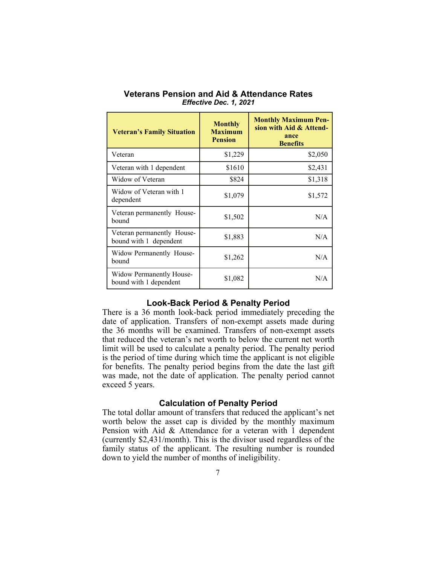| <b>Veteran's Family Situation</b>                    | <b>Monthly</b><br><b>Maximum</b><br><b>Pension</b> | <b>Monthly Maximum Pen-</b><br>sion with Aid & Attend-<br>ance<br><b>Benefits</b> |
|------------------------------------------------------|----------------------------------------------------|-----------------------------------------------------------------------------------|
| Veteran                                              | \$1,229                                            | \$2,050                                                                           |
| Veteran with 1 dependent                             | \$1610                                             | \$2,431                                                                           |
| Widow of Veteran                                     | \$824                                              | \$1,318                                                                           |
| Widow of Veteran with 1<br>dependent                 | \$1,079                                            | \$1,572                                                                           |
| Veteran permanently House-<br>bound                  | \$1,502                                            | N/A                                                                               |
| Veteran permanently House-<br>bound with 1 dependent | \$1,883                                            | N/A                                                                               |
| Widow Permanently House-<br>bound                    | \$1,262                                            | N/A                                                                               |
| Widow Permanently House-<br>bound with 1 dependent   | \$1,082                                            | N/A                                                                               |

**Veterans Pension and Aid & Attendance Rates**  *Effective Dec. 1, 2021* 

#### **Look-Back Period & Penalty Period**

There is a 36 month look-back period immediately preceding the date of application. Transfers of non-exempt assets made during the 36 months will be examined. Transfers of non-exempt assets that reduced the veteran's net worth to below the current net worth limit will be used to calculate a penalty period. The penalty period is the period of time during which time the applicant is not eligible for benefits. The penalty period begins from the date the last gift was made, not the date of application. The penalty period cannot exceed 5 years.

#### **Calculation of Penalty Period**

The total dollar amount of transfers that reduced the applicant's net worth below the asset cap is divided by the monthly maximum Pension with Aid & Attendance for a veteran with 1 dependent (currently \$2,431/month). This is the divisor used regardless of the family status of the applicant. The resulting number is rounded down to yield the number of months of ineligibility.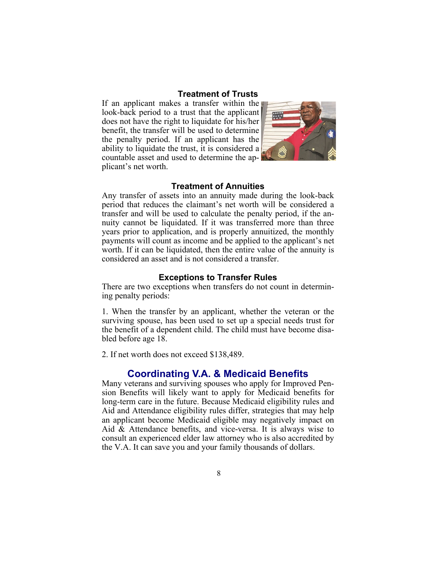#### **Treatment of Trusts**

If an applicant makes a transfer within the look-back period to a trust that the applicant does not have the right to liquidate for his/her benefit, the transfer will be used to determine the penalty period. If an applicant has the ability to liquidate the trust, it is considered a countable asset and used to determine the applicant's net worth.



#### **Treatment of Annuities**

Any transfer of assets into an annuity made during the look-back period that reduces the claimant's net worth will be considered a transfer and will be used to calculate the penalty period, if the annuity cannot be liquidated. If it was transferred more than three years prior to application, and is properly annuitized, the monthly payments will count as income and be applied to the applicant's net worth. If it can be liquidated, then the entire value of the annuity is considered an asset and is not considered a transfer.

#### **Exceptions to Transfer Rules**

There are two exceptions when transfers do not count in determining penalty periods:

1. When the transfer by an applicant, whether the veteran or the surviving spouse, has been used to set up a special needs trust for the benefit of a dependent child. The child must have become disabled before age 18.

2. If net worth does not exceed \$138,489.

#### **Coordinating V.A. & Medicaid Benefits**

Many veterans and surviving spouses who apply for Improved Pension Benefits will likely want to apply for Medicaid benefits for long-term care in the future. Because Medicaid eligibility rules and Aid and Attendance eligibility rules differ, strategies that may help an applicant become Medicaid eligible may negatively impact on Aid & Attendance benefits, and vice-versa. It is always wise to consult an experienced elder law attorney who is also accredited by the V.A. It can save you and your family thousands of dollars.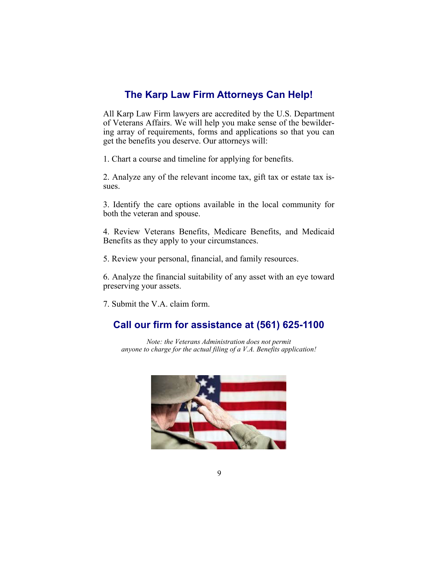## **The Karp Law Firm Attorneys Can Help!**

All Karp Law Firm lawyers are accredited by the U.S. Department of Veterans Affairs. We will help you make sense of the bewildering array of requirements, forms and applications so that you can get the benefits you deserve. Our attorneys will:

1. Chart a course and timeline for applying for benefits.

2. Analyze any of the relevant income tax, gift tax or estate tax issues.

3. Identify the care options available in the local community for both the veteran and spouse.

4. Review Veterans Benefits, Medicare Benefits, and Medicaid Benefits as they apply to your circumstances.

5. Review your personal, financial, and family resources.

6. Analyze the financial suitability of any asset with an eye toward preserving your assets.

7. Submit the V.A. claim form.

## **Call our firm for assistance at (561) 625-1100**

*Note: the Veterans Administration does not permit anyone to charge for the actual filing of a V.A. Benefits application!*